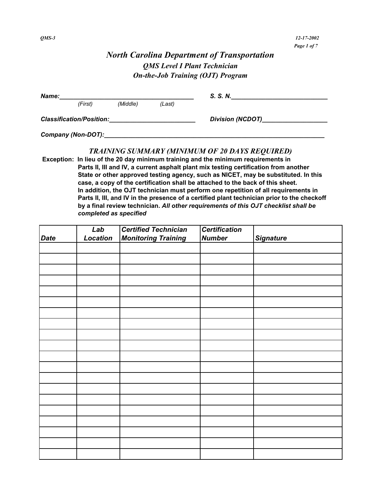# *North Carolina Department of Transportation QMS Level I Plant Technician On-the-Job Training (OJT) Program*

| Name: |                                 |          | S. S. N. |                         |  |
|-------|---------------------------------|----------|----------|-------------------------|--|
|       | (First)                         | (Middle) | (Last)   |                         |  |
|       | <b>Classification/Position:</b> |          |          | <b>Division (NCDOT)</b> |  |
|       | Company (Non-DOT):              |          |          |                         |  |

#### *TRAINING SUMMARY (MINIMUM OF 20 DAYS REQUIRED)*

 **Exception: In lieu of the 20 day minimum training and the minimum requirements in Parts II, III and IV, a current asphalt plant mix testing certification from another State or other approved testing agency, such as NICET, may be substituted. In this case, a copy of the certification shall be attached to the back of this sheet. In addition, the OJT technician must perform one repetition of all requirements in Parts II, III, and IV in the presence of a certified plant technician prior to the checkoff by a final review technician.** *All other requirements of this OJT checklist shall be completed as specified*

|             | Lab      | <b>Certified Technician</b> | <b>Certification</b> |                  |
|-------------|----------|-----------------------------|----------------------|------------------|
| <b>Date</b> | Location | <b>Monitoring Training</b>  | <b>Number</b>        | <b>Signature</b> |
|             |          |                             |                      |                  |
|             |          |                             |                      |                  |
|             |          |                             |                      |                  |
|             |          |                             |                      |                  |
|             |          |                             |                      |                  |
|             |          |                             |                      |                  |
|             |          |                             |                      |                  |
|             |          |                             |                      |                  |
|             |          |                             |                      |                  |
|             |          |                             |                      |                  |
|             |          |                             |                      |                  |
|             |          |                             |                      |                  |
|             |          |                             |                      |                  |
|             |          |                             |                      |                  |
|             |          |                             |                      |                  |
|             |          |                             |                      |                  |
|             |          |                             |                      |                  |
|             |          |                             |                      |                  |
|             |          |                             |                      |                  |
|             |          |                             |                      |                  |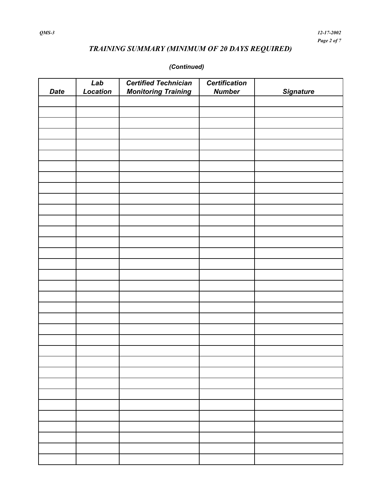# *TRAINING SUMMARY (MINIMUM OF 20 DAYS REQUIRED)*

### *(Continued)*

| <b>Date</b> | Lab<br>Location | <b>Certified Technician</b><br><b>Monitoring Training</b> | <b>Certification</b><br><b>Number</b> | <b>Signature</b> |
|-------------|-----------------|-----------------------------------------------------------|---------------------------------------|------------------|
|             |                 |                                                           |                                       |                  |
|             |                 |                                                           |                                       |                  |
|             |                 |                                                           |                                       |                  |
|             |                 |                                                           |                                       |                  |
|             |                 |                                                           |                                       |                  |
|             |                 |                                                           |                                       |                  |
|             |                 |                                                           |                                       |                  |
|             |                 |                                                           |                                       |                  |
|             |                 |                                                           |                                       |                  |
|             |                 |                                                           |                                       |                  |
|             |                 |                                                           |                                       |                  |
|             |                 |                                                           |                                       |                  |
|             |                 |                                                           |                                       |                  |
|             |                 |                                                           |                                       |                  |
|             |                 |                                                           |                                       |                  |
|             |                 |                                                           |                                       |                  |
|             |                 |                                                           |                                       |                  |
|             |                 |                                                           |                                       |                  |
|             |                 |                                                           |                                       |                  |
|             |                 |                                                           |                                       |                  |
|             |                 |                                                           |                                       |                  |
|             |                 |                                                           |                                       |                  |
|             |                 |                                                           |                                       |                  |
|             |                 |                                                           |                                       |                  |
|             |                 |                                                           |                                       |                  |
|             |                 |                                                           |                                       |                  |
|             |                 |                                                           |                                       |                  |
|             |                 |                                                           |                                       |                  |
|             |                 |                                                           |                                       |                  |
|             |                 |                                                           |                                       |                  |
|             |                 |                                                           |                                       |                  |
|             |                 |                                                           |                                       |                  |
|             |                 |                                                           |                                       |                  |
|             |                 |                                                           |                                       |                  |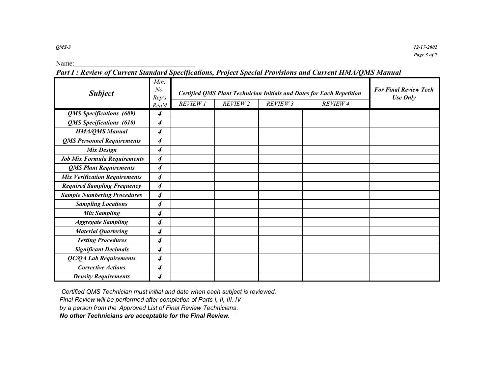Name:

*Part I : Review of Current Standard Specifications, Project Special Provisions and Current HMA/QMS Manual*

| <b>Subject</b>                       | Min.<br>No.<br>Rep's        | Certified QMS Plant Technician Initials and Dates for Each Repetition | <b>For Final Review Tech</b><br>Use Only |          |          |  |
|--------------------------------------|-----------------------------|-----------------------------------------------------------------------|------------------------------------------|----------|----------|--|
|                                      | Req'd                       | <b>REVIEW 1</b>                                                       | REVIEW 2                                 | REVIEW 3 | REVIEW 4 |  |
| QMS Specifications (609)             | 4                           |                                                                       |                                          |          |          |  |
| QMS Specifications (610)             | $\boldsymbol{4}$            |                                                                       |                                          |          |          |  |
| <b>HMA/QMS Manual</b>                | $\boldsymbol{4}$            |                                                                       |                                          |          |          |  |
| <b>QMS Personnel Requirements</b>    | $\boldsymbol{4}$            |                                                                       |                                          |          |          |  |
| <b>Mix Design</b>                    | $\boldsymbol{4}$            |                                                                       |                                          |          |          |  |
| <b>Job Mix Formula Requirements</b>  | $\boldsymbol{4}$            |                                                                       |                                          |          |          |  |
| <b>QMS Plant Requirements</b>        | $\boldsymbol{4}$            |                                                                       |                                          |          |          |  |
| <b>Mix Verification Requirements</b> | $\boldsymbol{4}$            |                                                                       |                                          |          |          |  |
| <b>Required Sampling Frequency</b>   | $\overline{4}$              |                                                                       |                                          |          |          |  |
| <b>Sample Numbering Procedures</b>   | $\boldsymbol{4}$            |                                                                       |                                          |          |          |  |
| <b>Sampling Locations</b>            | $\overline{\boldsymbol{4}}$ |                                                                       |                                          |          |          |  |
| <b>Mix Sampling</b>                  | 4                           |                                                                       |                                          |          |          |  |
| <b>Aggregate Sampling</b>            | 4                           |                                                                       |                                          |          |          |  |
| <b>Material Quartering</b>           | 4                           |                                                                       |                                          |          |          |  |
| <b>Testing Procedures</b>            | 4                           |                                                                       |                                          |          |          |  |
| <b>Significant Decimals</b>          | $\boldsymbol{4}$            |                                                                       |                                          |          |          |  |
| QC/QA Lab Requirements               | $\overline{\boldsymbol{4}}$ |                                                                       |                                          |          |          |  |
| <b>Corrective Actions</b>            | 4                           |                                                                       |                                          |          |          |  |
| <b>Density Requirements</b>          | 4                           |                                                                       |                                          |          |          |  |

 *Certified QMS Technician must initial and date when each subject is reviewed. Final Review will be performed after completion of Parts I, II, III, IV by a person from the Approved List of Final Review Technicians .* 

 *No other Technicians are acceptable for the Final Review.*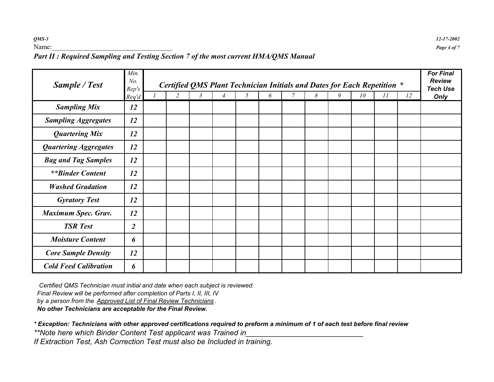### *Part II : Required Sampling and Testing Section 7 of the most current HMA/QMS Manual*

| Sample / Test                | Min.<br>No.<br>Rep's | Certified QMS Plant Technician Initials and Dates for Each Repetition *<br>$\tau$<br>8<br>9<br>$\overline{c}$<br>3<br>$\overline{4}$<br>5<br>6<br>10<br>11<br>12 |  |  |  |  |  |  |  |  |  |  | <b>For Final</b><br><b>Review</b><br><b>Tech Use</b> |      |
|------------------------------|----------------------|------------------------------------------------------------------------------------------------------------------------------------------------------------------|--|--|--|--|--|--|--|--|--|--|------------------------------------------------------|------|
| <b>Sampling Mix</b>          | Req'd<br>12          |                                                                                                                                                                  |  |  |  |  |  |  |  |  |  |  |                                                      | Only |
| <b>Sampling Aggregates</b>   | 12                   |                                                                                                                                                                  |  |  |  |  |  |  |  |  |  |  |                                                      |      |
| <b>Quartering Mix</b>        | 12                   |                                                                                                                                                                  |  |  |  |  |  |  |  |  |  |  |                                                      |      |
| <b>Quartering Aggregates</b> | 12                   |                                                                                                                                                                  |  |  |  |  |  |  |  |  |  |  |                                                      |      |
| <b>Bag and Tag Samples</b>   | 12                   |                                                                                                                                                                  |  |  |  |  |  |  |  |  |  |  |                                                      |      |
| <i>**Binder Content</i>      | 12                   |                                                                                                                                                                  |  |  |  |  |  |  |  |  |  |  |                                                      |      |
| <b>Washed Gradation</b>      | 12                   |                                                                                                                                                                  |  |  |  |  |  |  |  |  |  |  |                                                      |      |
| <b>Gyratory Test</b>         | 12                   |                                                                                                                                                                  |  |  |  |  |  |  |  |  |  |  |                                                      |      |
| <b>Maximum Spec. Grav.</b>   | 12                   |                                                                                                                                                                  |  |  |  |  |  |  |  |  |  |  |                                                      |      |
| <b>TSR</b> Test              | $\overline{2}$       |                                                                                                                                                                  |  |  |  |  |  |  |  |  |  |  |                                                      |      |
| <b>Moisture Content</b>      | 6                    |                                                                                                                                                                  |  |  |  |  |  |  |  |  |  |  |                                                      |      |
| <b>Core Sample Density</b>   | 12                   |                                                                                                                                                                  |  |  |  |  |  |  |  |  |  |  |                                                      |      |
| <b>Cold Feed Calibration</b> | 6                    |                                                                                                                                                                  |  |  |  |  |  |  |  |  |  |  |                                                      |      |

 *Certified QMS Technician must initial and date when each subject is reviewed.*

 *Final Review will be performed after completion of Parts I, II, III, IV* 

 *by a person from the Approved List of Final Review Technicians .* 

 *No other Technicians are acceptable for the Final Review.*

*\* Exception: Technicians with other approved certifications required to preform a minimum of 1 of each test before final review*

\*\*Note here which Binder Content Test applicant was Trained in

*If Extraction Test, Ash Correction Test must also be Included in training.*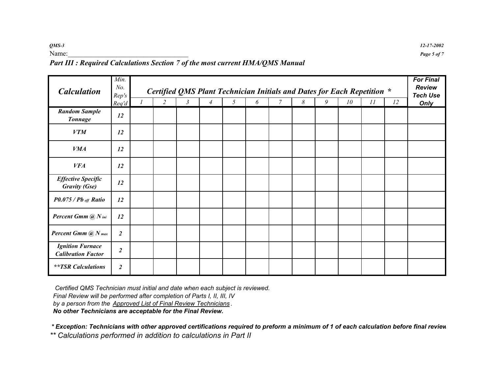*QMS-3 12-17-2002*

#### Name: <u>*Page 5 of 7*</u> *Part III : Required Calculations Section 7 of the most current HMA/QMS Manual*

| <b>Calculation</b>                                   | Min.<br>No.<br>Rep's<br>Req'd | $\overline{2}$ | Certified QMS Plant Technician Initials and Dates for Each Repetition *<br>$\mathfrak{Z}$ | $\overline{4}$ | 5 | 6 | $\overline{7}$ | 8 | 9 | 10 | 11 | 12 | <b>For Final</b><br><b>Review</b><br><b>Tech Use</b><br>Only |
|------------------------------------------------------|-------------------------------|----------------|-------------------------------------------------------------------------------------------|----------------|---|---|----------------|---|---|----|----|----|--------------------------------------------------------------|
| <b>Random Sample</b><br><b>Tonnage</b>               | 12                            |                |                                                                                           |                |   |   |                |   |   |    |    |    |                                                              |
| <b>VTM</b>                                           | 12                            |                |                                                                                           |                |   |   |                |   |   |    |    |    |                                                              |
| <b>VMA</b>                                           | 12                            |                |                                                                                           |                |   |   |                |   |   |    |    |    |                                                              |
| <b>VFA</b>                                           | 12                            |                |                                                                                           |                |   |   |                |   |   |    |    |    |                                                              |
| <b>Effective Specific</b><br><b>Gravity (Gse)</b>    | 12                            |                |                                                                                           |                |   |   |                |   |   |    |    |    |                                                              |
| $P0.075$ / $Pb$ eff Ratio                            | 12                            |                |                                                                                           |                |   |   |                |   |   |    |    |    |                                                              |
| Percent Gmm @ N ini                                  | 12                            |                |                                                                                           |                |   |   |                |   |   |    |    |    |                                                              |
| <b>Percent Gmm</b> $@N$ max                          | $\overline{2}$                |                |                                                                                           |                |   |   |                |   |   |    |    |    |                                                              |
| <b>Ignition Furnace</b><br><b>Calibration Factor</b> | $\boldsymbol{2}$              |                |                                                                                           |                |   |   |                |   |   |    |    |    |                                                              |
| <b>**TSR</b> Calculations                            | $\overline{2}$                |                |                                                                                           |                |   |   |                |   |   |    |    |    |                                                              |

 *Certified QMS Technician must initial and date when each subject is reviewed.*

 *Final Review will be performed after completion of Parts I, II, III, IV* 

 *by a person from the Approved List of Final Review Technicians .* 

 *No other Technicians are acceptable for the Final Review.*

 *\* Exception: Technicians with other approved certifications required to preform a minimum of 1 of each calculation before final review*

*\*\* Calculations performed in addition to calculations in Part II*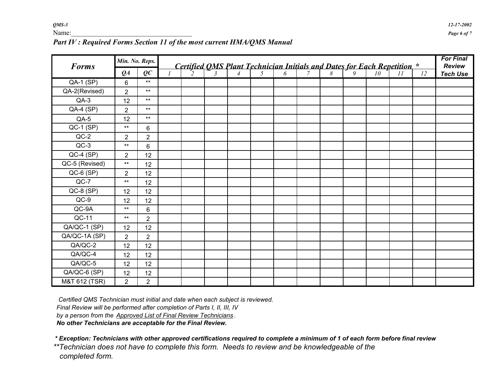| <b>Forms</b>     |                | Min. No. Reps. |               |  |  |  |                                                                                |  |    | <b>For Final</b><br><b>Review</b> |
|------------------|----------------|----------------|---------------|--|--|--|--------------------------------------------------------------------------------|--|----|-----------------------------------|
|                  | $Q_A$          | $\varrho c$    | $\mathcal{I}$ |  |  |  | <b>Certified QMS Plant Technician Initials and Dates for Each Repetition</b> * |  | 12 | <b>Tech Use</b>                   |
| <b>QA-1 (SP)</b> | 6              | $***$          |               |  |  |  |                                                                                |  |    |                                   |
| QA-2(Revised)    | $\overline{2}$ | $***$          |               |  |  |  |                                                                                |  |    |                                   |
| $QA-3$           | 12             | $***$          |               |  |  |  |                                                                                |  |    |                                   |
| $QA-4(SP)$       | $\overline{2}$ | $***$          |               |  |  |  |                                                                                |  |    |                                   |
| $QA-5$           | 12             | $***$          |               |  |  |  |                                                                                |  |    |                                   |
| $QC-1$ (SP)      | $***$          | 6              |               |  |  |  |                                                                                |  |    |                                   |
| $QC-2$           | $\overline{2}$ | $\overline{2}$ |               |  |  |  |                                                                                |  |    |                                   |
| $QC-3$           | $***$          | 6              |               |  |  |  |                                                                                |  |    |                                   |
| $QC-4(SP)$       | $\overline{2}$ | 12             |               |  |  |  |                                                                                |  |    |                                   |
| QC-5 (Revised)   | $***$          | 12             |               |  |  |  |                                                                                |  |    |                                   |
| $QC-6(SP)$       | $\overline{2}$ | 12             |               |  |  |  |                                                                                |  |    |                                   |
| $QC-7$           | $***$          | 12             |               |  |  |  |                                                                                |  |    |                                   |
| $QC-8(SP)$       | 12             | 12             |               |  |  |  |                                                                                |  |    |                                   |
| $QC-9$           | 12             | 12             |               |  |  |  |                                                                                |  |    |                                   |
| $QC-9A$          | $***$          | 6              |               |  |  |  |                                                                                |  |    |                                   |
| QC-11            | $***$          | $\overline{2}$ |               |  |  |  |                                                                                |  |    |                                   |
| QA/QC-1 (SP)     | 12             | 12             |               |  |  |  |                                                                                |  |    |                                   |
| QA/QC-1A (SP)    | $\overline{2}$ | $\overline{2}$ |               |  |  |  |                                                                                |  |    |                                   |
| QA/QC-2          | 12             | 12             |               |  |  |  |                                                                                |  |    |                                   |
| QA/QC-4          | 12             | 12             |               |  |  |  |                                                                                |  |    |                                   |
| QA/QC-5          | 12             | 12             |               |  |  |  |                                                                                |  |    |                                   |
| QA/QC-6 (SP)     | 12             | 12             |               |  |  |  |                                                                                |  |    |                                   |
| M&T 612 (TSR)    | $\overline{2}$ | $\overline{2}$ |               |  |  |  |                                                                                |  |    |                                   |

### *Part IV : Required Forms Section 11 of the most current HMA/QMS Manual*

 *Certified QMS Technician must initial and date when each subject is reviewed. Final Review will be performed after completion of Parts I, II, III, IV by a person from the Approved List of Final Review Technicians . No other Technicians are acceptable for the Final Review.*

 *\* Exception: Technicians with other approved certifications required to complete a minimum of 1 of each form before final review \*\*Technician does not have to complete this form. Needs to review and be knowledgeable of the completed form.*